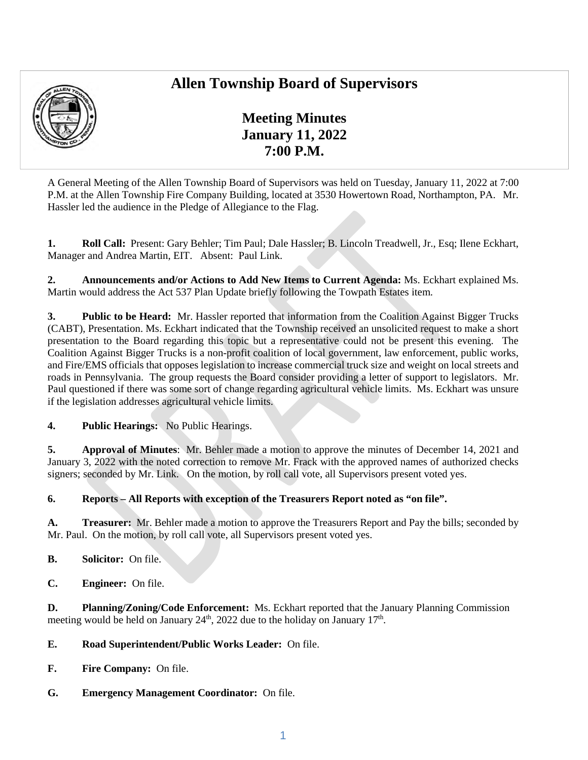## **Allen Township Board of Supervisors**



**Meeting Minutes January 11, 2022 7:00 P.M.** 

A General Meeting of the Allen Township Board of Supervisors was held on Tuesday, January 11, 2022 at 7:00 P.M. at the Allen Township Fire Company Building, located at 3530 Howertown Road, Northampton, PA. Mr. Hassler led the audience in the Pledge of Allegiance to the Flag.

**1. Roll Call:** Present: Gary Behler; Tim Paul; Dale Hassler; B. Lincoln Treadwell, Jr., Esq; Ilene Eckhart, Manager and Andrea Martin, EIT. Absent: Paul Link.

**2. Announcements and/or Actions to Add New Items to Current Agenda:** Ms. Eckhart explained Ms. Martin would address the Act 537 Plan Update briefly following the Towpath Estates item.

**3. Public to be Heard:** Mr. Hassler reported that information from the Coalition Against Bigger Trucks (CABT), Presentation. Ms. Eckhart indicated that the Township received an unsolicited request to make a short presentation to the Board regarding this topic but a representative could not be present this evening. The Coalition Against Bigger Trucks is a non-profit coalition of local government, law enforcement, public works, and Fire/EMS officials that opposes legislation to increase commercial truck size and weight on local streets and roads in Pennsylvania. The group requests the Board consider providing a letter of support to legislators. Mr. Paul questioned if there was some sort of change regarding agricultural vehicle limits. Ms. Eckhart was unsure if the legislation addresses agricultural vehicle limits.

**4. Public Hearings:** No Public Hearings.

**5. Approval of Minutes**: Mr. Behler made a motion to approve the minutes of December 14, 2021 and January 3, 2022 with the noted correction to remove Mr. Frack with the approved names of authorized checks signers; seconded by Mr. Link. On the motion, by roll call vote, all Supervisors present voted yes.

## **6. Reports – All Reports with exception of the Treasurers Report noted as "on file".**

**A. Treasurer:** Mr. Behler made a motion to approve the Treasurers Report and Pay the bills; seconded by Mr. Paul. On the motion, by roll call vote, all Supervisors present voted yes.

- **B. Solicitor:** On file.
- **C. Engineer:** On file.

**D. Planning/Zoning/Code Enforcement:** Ms. Eckhart reported that the January Planning Commission meeting would be held on January  $24<sup>th</sup>$ ,  $2022$  due to the holiday on January  $17<sup>th</sup>$ .

**E. Road Superintendent/Public Works Leader:** On file.

- **F. Fire Company:** On file.
- **G. Emergency Management Coordinator:** On file.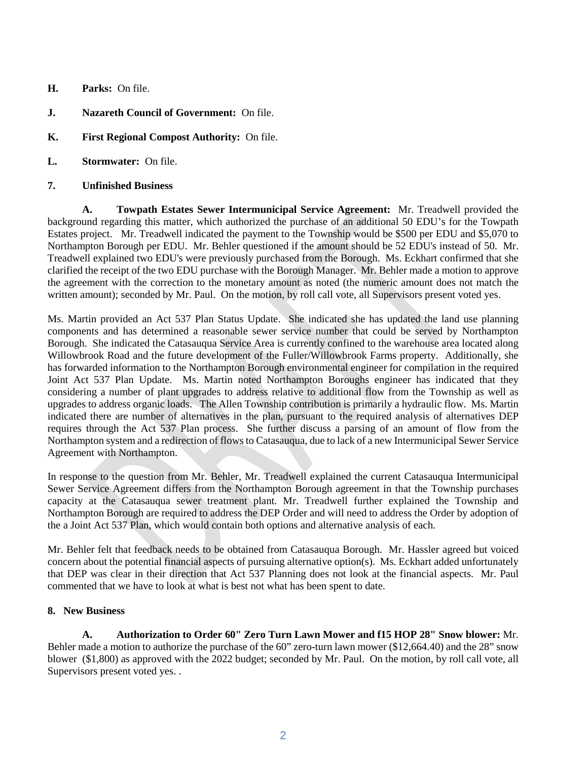- **H. Parks:** On file.
- **J. Nazareth Council of Government:** On file.
- **K. First Regional Compost Authority:** On file.
- **L. Stormwater:** On file.

## **7. Unfinished Business**

**A. Towpath Estates Sewer Intermunicipal Service Agreement:** Mr. Treadwell provided the background regarding this matter, which authorized the purchase of an additional 50 EDU's for the Towpath Estates project. Mr. Treadwell indicated the payment to the Township would be \$500 per EDU and \$5,070 to Northampton Borough per EDU. Mr. Behler questioned if the amount should be 52 EDU's instead of 50. Mr. Treadwell explained two EDU's were previously purchased from the Borough. Ms. Eckhart confirmed that she clarified the receipt of the two EDU purchase with the Borough Manager. Mr. Behler made a motion to approve the agreement with the correction to the monetary amount as noted (the numeric amount does not match the written amount); seconded by Mr. Paul. On the motion, by roll call vote, all Supervisors present voted yes.

Ms. Martin provided an Act 537 Plan Status Update. She indicated she has updated the land use planning components and has determined a reasonable sewer service number that could be served by Northampton Borough. She indicated the Catasauqua Service Area is currently confined to the warehouse area located along Willowbrook Road and the future development of the Fuller/Willowbrook Farms property. Additionally, she has forwarded information to the Northampton Borough environmental engineer for compilation in the required Joint Act 537 Plan Update. Ms. Martin noted Northampton Boroughs engineer has indicated that they considering a number of plant upgrades to address relative to additional flow from the Township as well as upgrades to address organic loads. The Allen Township contribution is primarily a hydraulic flow. Ms. Martin indicated there are number of alternatives in the plan, pursuant to the required analysis of alternatives DEP requires through the Act 537 Plan process. She further discuss a parsing of an amount of flow from the Northampton system and a redirection of flows to Catasauqua, due to lack of a new Intermunicipal Sewer Service Agreement with Northampton.

In response to the question from Mr. Behler, Mr. Treadwell explained the current Catasauqua Intermunicipal Sewer Service Agreement differs from the Northampton Borough agreement in that the Township purchases capacity at the Catasauqua sewer treatment plant. Mr. Treadwell further explained the Township and Northampton Borough are required to address the DEP Order and will need to address the Order by adoption of the a Joint Act 537 Plan, which would contain both options and alternative analysis of each.

Mr. Behler felt that feedback needs to be obtained from Catasauqua Borough. Mr. Hassler agreed but voiced concern about the potential financial aspects of pursuing alternative option(s). Ms. Eckhart added unfortunately that DEP was clear in their direction that Act 537 Planning does not look at the financial aspects. Mr. Paul commented that we have to look at what is best not what has been spent to date.

## **8. New Business**

**A. Authorization to Order 60" Zero Turn Lawn Mower and f15 HOP 28" Snow blower:** Mr. Behler made a motion to authorize the purchase of the 60" zero-turn lawn mower (\$12,664.40) and the 28" snow blower (\$1,800) as approved with the 2022 budget; seconded by Mr. Paul. On the motion, by roll call vote, all Supervisors present voted yes. .